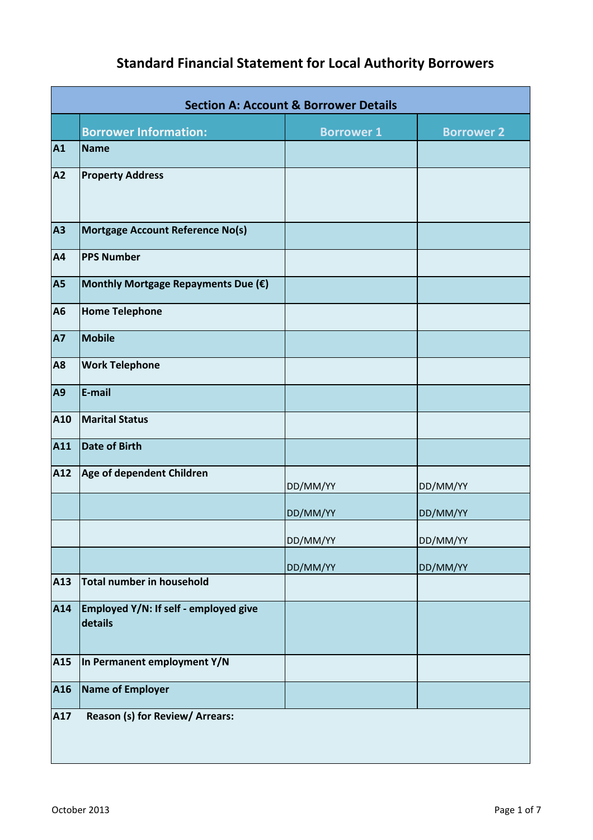## **Standard Financial Statement for Local Authority Borrowers**

|           | <b>Section A: Account &amp; Borrower Details</b> |                   |                   |  |  |  |
|-----------|--------------------------------------------------|-------------------|-------------------|--|--|--|
|           | <b>Borrower Information:</b>                     | <b>Borrower 1</b> | <b>Borrower 2</b> |  |  |  |
| A1        | <b>Name</b>                                      |                   |                   |  |  |  |
| A2        | <b>Property Address</b>                          |                   |                   |  |  |  |
| <b>A3</b> | <b>Mortgage Account Reference No(s)</b>          |                   |                   |  |  |  |
| A4        | <b>PPS Number</b>                                |                   |                   |  |  |  |
| <b>A5</b> | Monthly Mortgage Repayments Due (€)              |                   |                   |  |  |  |
| A6        | <b>Home Telephone</b>                            |                   |                   |  |  |  |
| <b>A7</b> | <b>Mobile</b>                                    |                   |                   |  |  |  |
| <b>A8</b> | <b>Work Telephone</b>                            |                   |                   |  |  |  |
| A9        | E-mail                                           |                   |                   |  |  |  |
| A10       | <b>Marital Status</b>                            |                   |                   |  |  |  |
| A11       | <b>Date of Birth</b>                             |                   |                   |  |  |  |
| A12       | Age of dependent Children                        | DD/MM/YY          | DD/MM/YY          |  |  |  |
|           |                                                  | DD/MM/YY          | DD/MM/YY          |  |  |  |
|           |                                                  | DD/MM/YY          | DD/MM/YY          |  |  |  |
|           |                                                  | DD/MM/YY          | DD/MM/YY          |  |  |  |
| A13       | Total number in household                        |                   |                   |  |  |  |
| A14       | Employed Y/N: If self - employed give<br>details |                   |                   |  |  |  |
| A15       | In Permanent employment Y/N                      |                   |                   |  |  |  |
| A16       | <b>Name of Employer</b>                          |                   |                   |  |  |  |
| A17       | Reason (s) for Review/ Arrears:                  |                   |                   |  |  |  |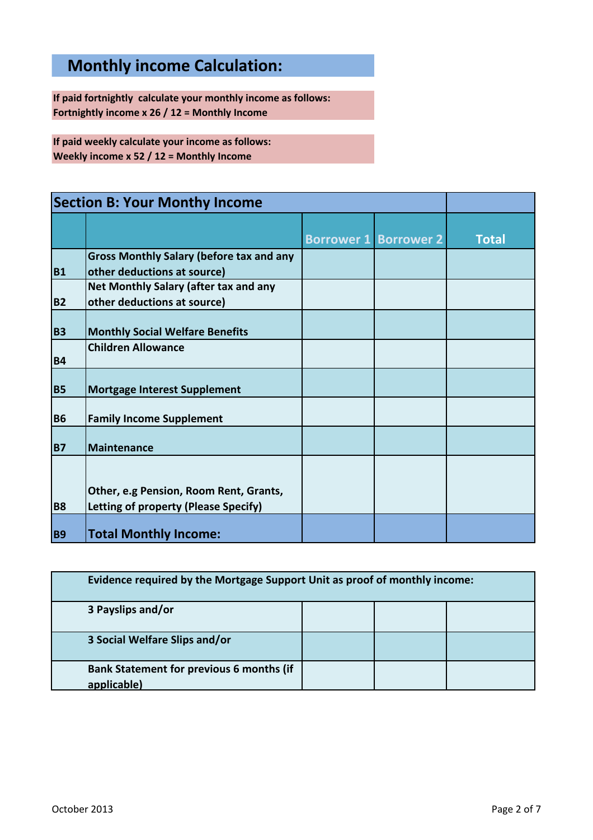## **Monthly income Calculation:**

**If paid fortnightly calculate your monthly income as follows: Fortnightly income x 26 / 12 = Monthly Income**

**If paid weekly calculate your income as follows: Weekly income x 52 / 12 = Monthly Income**

| <b>Section B: Your Monthy Income</b> |                                                                                       |                              |              |
|--------------------------------------|---------------------------------------------------------------------------------------|------------------------------|--------------|
|                                      |                                                                                       | <b>Borrower 1 Borrower 2</b> | <b>Total</b> |
| <b>B1</b>                            | <b>Gross Monthly Salary (before tax and any</b><br>other deductions at source)        |                              |              |
| <b>B2</b>                            | <b>Net Monthly Salary (after tax and any</b><br>other deductions at source)           |                              |              |
| <b>B3</b>                            | <b>Monthly Social Welfare Benefits</b>                                                |                              |              |
| <b>B4</b>                            | <b>Children Allowance</b>                                                             |                              |              |
| <b>B5</b>                            | <b>Mortgage Interest Supplement</b>                                                   |                              |              |
| <b>B6</b>                            | <b>Family Income Supplement</b>                                                       |                              |              |
| <b>B7</b>                            | Maintenance                                                                           |                              |              |
| <b>B8</b>                            | Other, e.g Pension, Room Rent, Grants,<br><b>Letting of property (Please Specify)</b> |                              |              |
| <b>B9</b>                            | <b>Total Monthly Income:</b>                                                          |                              |              |

| Evidence required by the Mortgage Support Unit as proof of monthly income: |  |  |  |  |
|----------------------------------------------------------------------------|--|--|--|--|
| 3 Payslips and/or                                                          |  |  |  |  |
| 3 Social Welfare Slips and/or                                              |  |  |  |  |
| <b>Bank Statement for previous 6 months (if</b><br>applicable)             |  |  |  |  |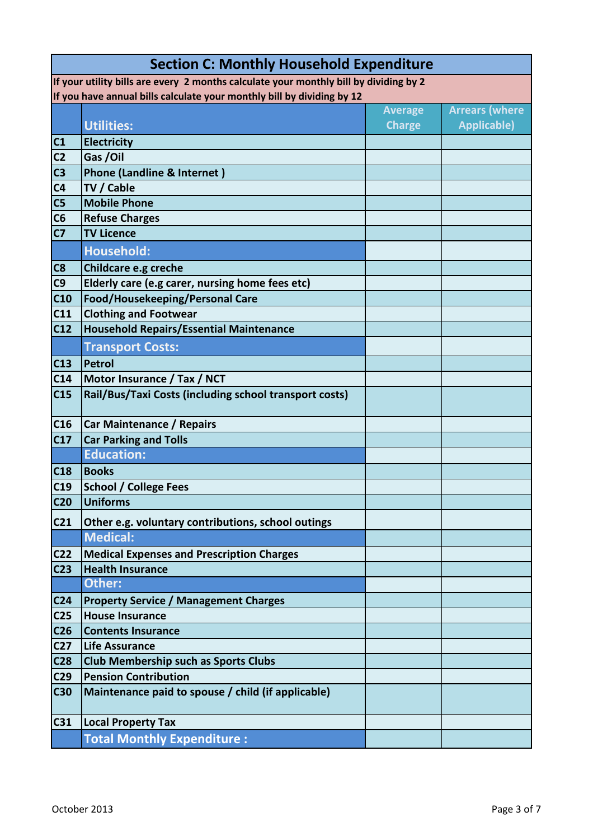| <b>Section C: Monthly Household Expenditure</b>                                       |                                                                        |                |                       |  |  |  |
|---------------------------------------------------------------------------------------|------------------------------------------------------------------------|----------------|-----------------------|--|--|--|
| If your utility bills are every 2 months calculate your monthly bill by dividing by 2 |                                                                        |                |                       |  |  |  |
|                                                                                       | If you have annual bills calculate your monthly bill by dividing by 12 |                |                       |  |  |  |
|                                                                                       |                                                                        | <b>Average</b> | <b>Arrears (where</b> |  |  |  |
|                                                                                       | <b>Utilities:</b>                                                      | <b>Charge</b>  | <b>Applicable)</b>    |  |  |  |
| C1                                                                                    | Electricity                                                            |                |                       |  |  |  |
| C <sub>2</sub>                                                                        | Gas /Oil                                                               |                |                       |  |  |  |
| C <sub>3</sub>                                                                        | Phone (Landline & Internet)                                            |                |                       |  |  |  |
| C <sub>4</sub>                                                                        | TV / Cable                                                             |                |                       |  |  |  |
| C <sub>5</sub>                                                                        | <b>Mobile Phone</b>                                                    |                |                       |  |  |  |
| C6                                                                                    | <b>Refuse Charges</b>                                                  |                |                       |  |  |  |
| C <sub>7</sub>                                                                        | <b>TV Licence</b>                                                      |                |                       |  |  |  |
|                                                                                       | <b>Household:</b>                                                      |                |                       |  |  |  |
| C8                                                                                    | <b>Childcare e.g creche</b>                                            |                |                       |  |  |  |
| C9                                                                                    | Elderly care (e.g carer, nursing home fees etc)                        |                |                       |  |  |  |
| C10                                                                                   | Food/Housekeeping/Personal Care                                        |                |                       |  |  |  |
| C11                                                                                   | <b>Clothing and Footwear</b>                                           |                |                       |  |  |  |
| C12                                                                                   | <b>Household Repairs/Essential Maintenance</b>                         |                |                       |  |  |  |
|                                                                                       | <b>Transport Costs:</b>                                                |                |                       |  |  |  |
| C13                                                                                   | <b>Petrol</b>                                                          |                |                       |  |  |  |
| C14                                                                                   | Motor Insurance / Tax / NCT                                            |                |                       |  |  |  |
| C15                                                                                   | Rail/Bus/Taxi Costs (including school transport costs)                 |                |                       |  |  |  |
| C16                                                                                   | <b>Car Maintenance / Repairs</b>                                       |                |                       |  |  |  |
| C17                                                                                   | <b>Car Parking and Tolls</b>                                           |                |                       |  |  |  |
|                                                                                       | <b>Education:</b>                                                      |                |                       |  |  |  |
| C18                                                                                   | <b>Books</b>                                                           |                |                       |  |  |  |
| C19                                                                                   | <b>School / College Fees</b>                                           |                |                       |  |  |  |
| C <sub>20</sub>                                                                       | <b>Uniforms</b>                                                        |                |                       |  |  |  |
| C <sub>21</sub>                                                                       | Other e.g. voluntary contributions, school outings                     |                |                       |  |  |  |
|                                                                                       | <b>Medical:</b>                                                        |                |                       |  |  |  |
| C <sub>22</sub>                                                                       | <b>Medical Expenses and Prescription Charges</b>                       |                |                       |  |  |  |
| C <sub>23</sub>                                                                       | <b>Health Insurance</b>                                                |                |                       |  |  |  |
|                                                                                       | Other:                                                                 |                |                       |  |  |  |
| C <sub>24</sub>                                                                       | <b>Property Service / Management Charges</b>                           |                |                       |  |  |  |
| C <sub>25</sub>                                                                       | <b>House Insurance</b>                                                 |                |                       |  |  |  |
| C <sub>26</sub>                                                                       | <b>Contents Insurance</b>                                              |                |                       |  |  |  |
| C <sub>27</sub>                                                                       | <b>Life Assurance</b>                                                  |                |                       |  |  |  |
| C <sub>28</sub>                                                                       | <b>Club Membership such as Sports Clubs</b>                            |                |                       |  |  |  |
| C <sub>29</sub>                                                                       | <b>Pension Contribution</b>                                            |                |                       |  |  |  |
| <b>C30</b>                                                                            | Maintenance paid to spouse / child (if applicable)                     |                |                       |  |  |  |
| C31                                                                                   | <b>Local Property Tax</b>                                              |                |                       |  |  |  |
|                                                                                       | <b>Total Monthly Expenditure:</b>                                      |                |                       |  |  |  |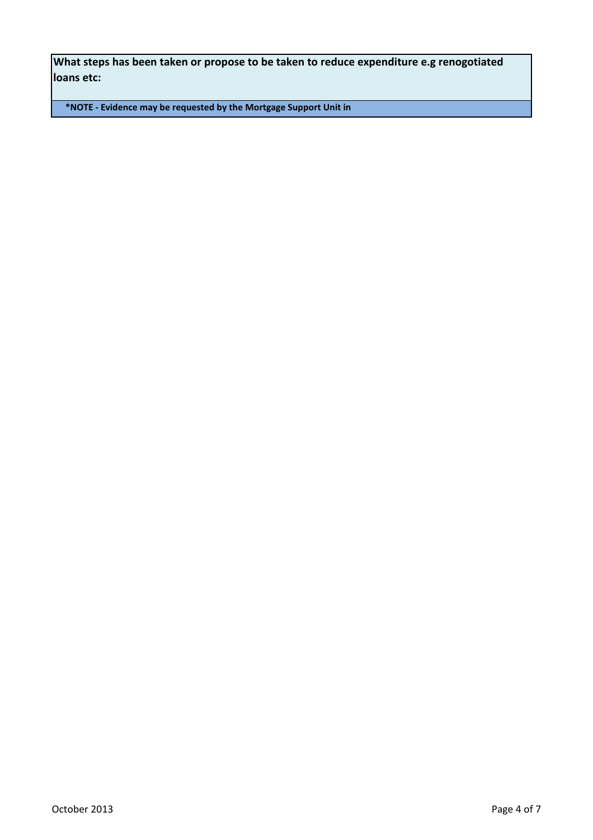**What steps has been taken or propose to be taken to reduce expenditure e.g renogotiated loans etc:**

**\*NOTE - Evidence may be requested by the Mortgage Support Unit in respect of some of the above items listed**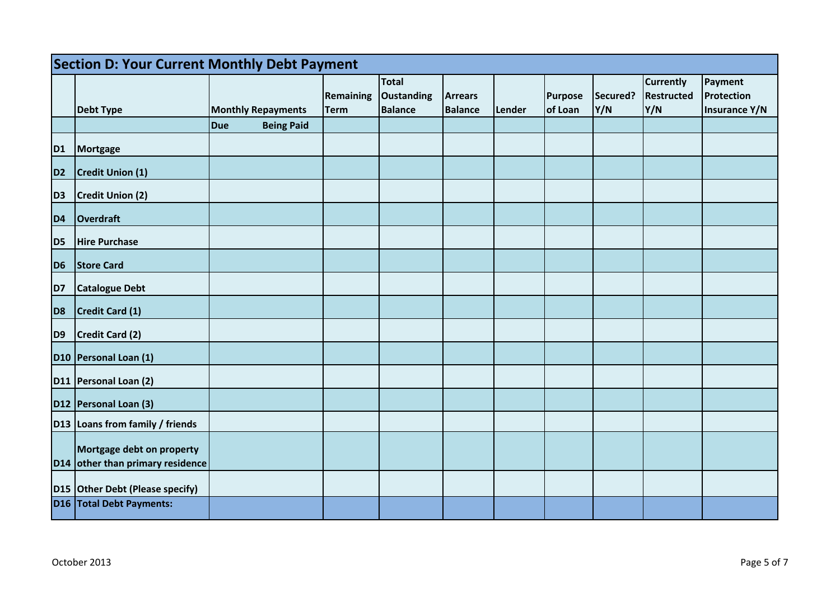|                | <b>Section D: Your Current Monthly Debt Payment</b>       |     |                           |                                 |                                              |                                  |               |                           |                 |                                       |                                        |
|----------------|-----------------------------------------------------------|-----|---------------------------|---------------------------------|----------------------------------------------|----------------------------------|---------------|---------------------------|-----------------|---------------------------------------|----------------------------------------|
|                | Debt Type                                                 |     | <b>Monthly Repayments</b> | <b>Remaining</b><br><b>Term</b> | <b>Total</b><br>Oustanding<br><b>Balance</b> | <b>Arrears</b><br><b>Balance</b> | <b>Lender</b> | <b>Purpose</b><br>of Loan | Secured?<br>Y/N | <b>Currently</b><br>Restructed<br>Y/N | Payment<br>Protection<br>Insurance Y/N |
|                |                                                           | Due | <b>Being Paid</b>         |                                 |                                              |                                  |               |                           |                 |                                       |                                        |
| D <sub>1</sub> | Mortgage                                                  |     |                           |                                 |                                              |                                  |               |                           |                 |                                       |                                        |
| D <sub>2</sub> | Credit Union (1)                                          |     |                           |                                 |                                              |                                  |               |                           |                 |                                       |                                        |
| D <sub>3</sub> | Credit Union (2)                                          |     |                           |                                 |                                              |                                  |               |                           |                 |                                       |                                        |
| D <sub>4</sub> | Overdraft                                                 |     |                           |                                 |                                              |                                  |               |                           |                 |                                       |                                        |
| D <sub>5</sub> | <b>Hire Purchase</b>                                      |     |                           |                                 |                                              |                                  |               |                           |                 |                                       |                                        |
| D <sub>6</sub> | <b>Store Card</b>                                         |     |                           |                                 |                                              |                                  |               |                           |                 |                                       |                                        |
| D7             | Catalogue Debt                                            |     |                           |                                 |                                              |                                  |               |                           |                 |                                       |                                        |
| D <sub>8</sub> | Credit Card (1)                                           |     |                           |                                 |                                              |                                  |               |                           |                 |                                       |                                        |
| D <sub>9</sub> | Credit Card (2)                                           |     |                           |                                 |                                              |                                  |               |                           |                 |                                       |                                        |
|                | D10 Personal Loan (1)                                     |     |                           |                                 |                                              |                                  |               |                           |                 |                                       |                                        |
|                | D11 Personal Loan (2)                                     |     |                           |                                 |                                              |                                  |               |                           |                 |                                       |                                        |
|                | D12 Personal Loan (3)                                     |     |                           |                                 |                                              |                                  |               |                           |                 |                                       |                                        |
|                | D13 Loans from family / friends                           |     |                           |                                 |                                              |                                  |               |                           |                 |                                       |                                        |
| <b>D14</b>     | Mortgage debt on property<br>other than primary residence |     |                           |                                 |                                              |                                  |               |                           |                 |                                       |                                        |
|                | D15 Other Debt (Please specify)                           |     |                           |                                 |                                              |                                  |               |                           |                 |                                       |                                        |
|                | D16   Total Debt Payments:                                |     |                           |                                 |                                              |                                  |               |                           |                 |                                       |                                        |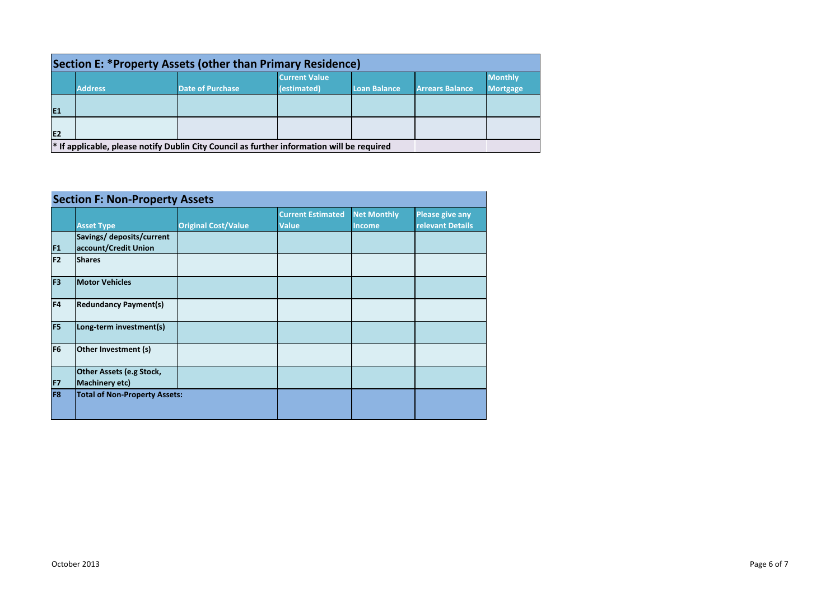| Section E: *Property Assets (other than Primary Residence) |                                                                                                       |                         |                      |                     |                        |                 |
|------------------------------------------------------------|-------------------------------------------------------------------------------------------------------|-------------------------|----------------------|---------------------|------------------------|-----------------|
|                                                            |                                                                                                       |                         | <b>Current Value</b> |                     |                        | <b>Monthly</b>  |
|                                                            | <b>Address</b>                                                                                        | <b>Date of Purchase</b> | (estimated)          | <b>Loan Balance</b> | <b>Arrears Balance</b> | <b>Mortgage</b> |
|                                                            |                                                                                                       |                         |                      |                     |                        |                 |
| E <sub>1</sub>                                             |                                                                                                       |                         |                      |                     |                        |                 |
|                                                            |                                                                                                       |                         |                      |                     |                        |                 |
| IE <sub>2</sub>                                            |                                                                                                       |                         |                      |                     |                        |                 |
|                                                            | <sup>*</sup> If applicable, please notify Dublin City Council as further information will be required |                         |                      |                     |                        |                 |

| <b>Section F: Non-Property Assets</b> |                                                   |                            |                                          |                                     |                                            |
|---------------------------------------|---------------------------------------------------|----------------------------|------------------------------------------|-------------------------------------|--------------------------------------------|
|                                       | <b>Asset Type</b>                                 | <b>Original Cost/Value</b> | <b>Current Estimated</b><br><b>Value</b> | <b>Net Monthly</b><br><b>Income</b> | <b>Please give any</b><br>relevant Details |
| F <sub>1</sub>                        | Savings/ deposits/current<br>account/Credit Union |                            |                                          |                                     |                                            |
| F <sub>2</sub>                        | <b>Shares</b>                                     |                            |                                          |                                     |                                            |
| F <sub>3</sub>                        | <b>Motor Vehicles</b>                             |                            |                                          |                                     |                                            |
| F4                                    | <b>Redundancy Payment(s)</b>                      |                            |                                          |                                     |                                            |
| F <sub>5</sub>                        | Long-term investment(s)                           |                            |                                          |                                     |                                            |
| F <sub>6</sub>                        | Other Investment (s)                              |                            |                                          |                                     |                                            |
| F7                                    | Other Assets (e.g Stock,<br><b>Machinery etc)</b> |                            |                                          |                                     |                                            |
| F <sub>8</sub>                        | <b>Total of Non-Property Assets:</b>              |                            |                                          |                                     |                                            |